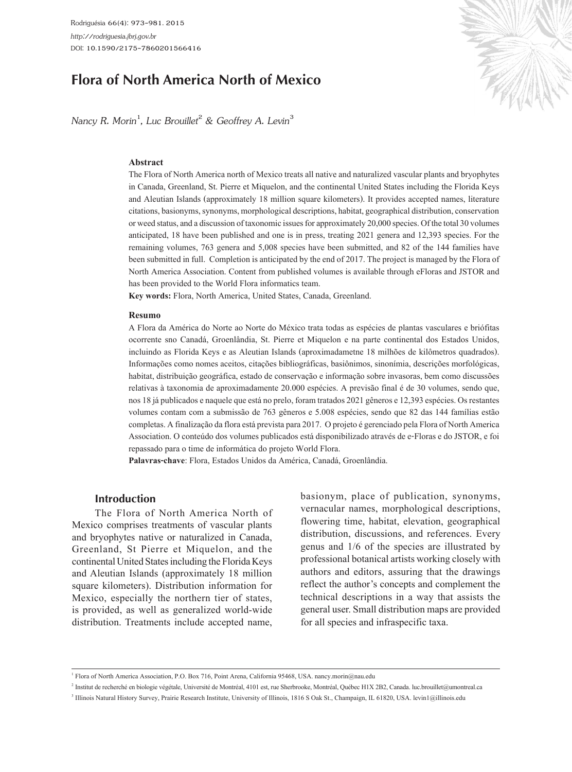# **Flora of North America North of Mexico**



*Nancy R. Morin*<sup>1</sup> *, Luc Brouillet*<sup>2</sup>  *& Geoffrey A. Levin*<sup>3</sup>

#### **Abstract**

The Flora of North America north of Mexico treats all native and naturalized vascular plants and bryophytes in Canada, Greenland, St. Pierre et Miquelon, and the continental United States including the Florida Keys and Aleutian Islands (approximately 18 million square kilometers). It provides accepted names, literature citations, basionyms, synonyms, morphological descriptions, habitat, geographical distribution, conservation or weed status, and a discussion of taxonomic issues for approximately 20,000 species. Of the total 30 volumes anticipated, 18 have been published and one is in press, treating 2021 genera and 12,393 species. For the remaining volumes, 763 genera and 5,008 species have been submitted, and 82 of the 144 families have been submitted in full. Completion is anticipated by the end of 2017. The project is managed by the Flora of North America Association. Content from published volumes is available through eFloras and JSTOR and has been provided to the World Flora informatics team.

**Key words:** Flora, North America, United States, Canada, Greenland.

#### **Resumo**

A Flora da América do Norte ao Norte do México trata todas as espécies de plantas vasculares e briófitas ocorrente sno Canadá, Groenlândia, St. Pierre et Miquelon e na parte continental dos Estados Unidos, incluindo as Florida Keys e as Aleutian Islands (aproximadametne 18 milhões de kilômetros quadrados). Informações como nomes aceitos, citações bibliográficas, basiônimos, sinonímia, descrições morfológicas, habitat, distribuição geográfica, estado de conservação e informação sobre invasoras, bem como discussões relativas à taxonomia de aproximadamente 20.000 espécies. A previsão final é de 30 volumes, sendo que, nos 18 já publicados e naquele que está no prelo, foram tratados 2021 gêneros e 12,393 espécies. Os restantes volumes contam com a submissão de 763 gêneros e 5.008 espécies, sendo que 82 das 144 famílias estão completas. A finalização da flora está prevista para 2017. O projeto é gerenciado pela Flora of North America Association. O conteúdo dos volumes publicados está disponibilizado através de e-Floras e do JSTOR, e foi repassado para o time de informática do projeto World Flora.

**Palavras-chave**: Flora, Estados Unidos da América, Canadá, Groenlândia.

### **Introduction**

The Flora of North America North of Mexico comprises treatments of vascular plants and bryophytes native or naturalized in Canada, Greenland, St Pierre et Miquelon, and the continental United States including the Florida Keys and Aleutian Islands (approximately 18 million square kilometers). Distribution information for Mexico, especially the northern tier of states, is provided, as well as generalized world-wide distribution. Treatments include accepted name,

basionym, place of publication, synonyms, vernacular names, morphological descriptions, flowering time, habitat, elevation, geographical distribution, discussions, and references. Every genus and 1/6 of the species are illustrated by professional botanical artists working closely with authors and editors, assuring that the drawings reflect the author's concepts and complement the technical descriptions in a way that assists the general user. Small distribution maps are provided for all species and infraspecific taxa.

<sup>1</sup> Flora of North America Association, P.O. Box 716, Point Arena, California 95468, USA. nancy.morin@nau.edu

<sup>2</sup> Institut de recherché en biologie végétale, Université de Montréal, 4101 est, rue Sherbrooke, Montréal, Québec H1X 2B2, Canada. luc.brouillet@umontreal.ca

<sup>&</sup>lt;sup>3</sup> Illinois Natural History Survey, Prairie Research Institute, University of Illinois, 1816 S Oak St., Champaign, IL 61820, USA. levin1@illinois.edu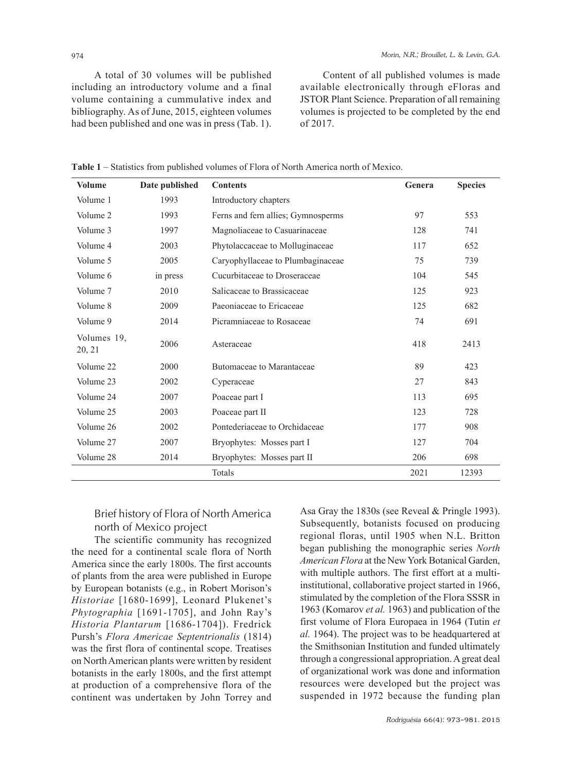A total of 30 volumes will be published including an introductory volume and a final volume containing a cummulative index and bibliography. As of June, 2015, eighteen volumes had been published and one was in press (Tab. 1).

Content of all published volumes is made available electronically through eFloras and JSTOR Plant Science. Preparation of all remaining volumes is projected to be completed by the end of 2017.

| Volume                | Date published | <b>Contents</b>                    | Genera | <b>Species</b> |
|-----------------------|----------------|------------------------------------|--------|----------------|
| Volume 1              | 1993           | Introductory chapters              |        |                |
| Volume 2              | 1993           | Ferns and fern allies; Gymnosperms | 97     | 553            |
| Volume 3              | 1997           | Magnoliaceae to Casuarinaceae      | 128    | 741            |
| Volume 4              | 2003           | Phytolaccaceae to Molluginaceae    | 117    | 652            |
| Volume 5              | 2005           | Caryophyllaceae to Plumbaginaceae  | 75     | 739            |
| Volume 6              | in press       | Cucurbitaceae to Droseraceae       | 104    | 545            |
| Volume 7              | 2010           | Salicaceae to Brassicaceae         | 125    | 923            |
| Volume 8              | 2009           | Paeoniaceae to Ericaceae           | 125    | 682            |
| Volume 9              | 2014           | Picramniaceae to Rosaceae          | 74     | 691            |
| Volumes 19,<br>20, 21 | 2006           | Asteraceae                         | 418    | 2413           |
| Volume 22             | 2000           | Butomaceae to Marantaceae          | 89     | 423            |
| Volume 23             | 2002           | Cyperaceae                         | 27     | 843            |
| Volume 24             | 2007           | Poaceae part I                     | 113    | 695            |
| Volume 25             | 2003           | Poaceae part II                    | 123    | 728            |
| Volume 26             | 2002           | Pontederiaceae to Orchidaceae      | 177    | 908            |
| Volume 27             | 2007           | Bryophytes: Mosses part I          | 127    | 704            |
| Volume 28             | 2014           | Bryophytes: Mosses part II         | 206    | 698            |
|                       |                | Totals                             | 2021   | 12393          |

**Table 1** – Statistics from published volumes of Flora of North America north of Mexico.

Brief history of Flora of North America north of Mexico project

The scientific community has recognized the need for a continental scale flora of North America since the early 1800s. The first accounts of plants from the area were published in Europe by European botanists (e.g., in Robert Morison's *Historiae* [1680-1699], Leonard Plukenet's *Phytographia* [1691-1705], and John Ray's *Historia Plantarum* [1686-1704]). Fredrick Pursh's *Flora Americae Septentrionalis* (1814) was the first flora of continental scope. Treatises on North American plants were written by resident botanists in the early 1800s, and the first attempt at production of a comprehensive flora of the continent was undertaken by John Torrey and Asa Gray the 1830s (see Reveal & Pringle 1993). Subsequently, botanists focused on producing regional floras, until 1905 when N.L. Britton began publishing the monographic series *North American Flora* at the New York Botanical Garden, with multiple authors. The first effort at a multiinstitutional, collaborative project started in 1966, stimulated by the completion of the Flora SSSR in 1963 (Komarov *et al.* 1963) and publication of the first volume of Flora Europaea in 1964 (Tutin *et al.* 1964). The project was to be headquartered at the Smithsonian Institution and funded ultimately through a congressional appropriation. A great deal of organizational work was done and information resources were developed but the project was suspended in 1972 because the funding plan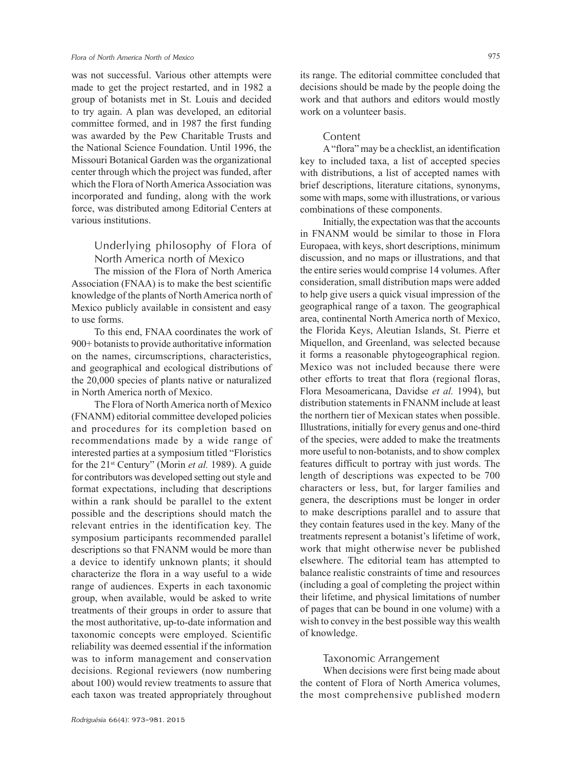was not successful. Various other attempts were made to get the project restarted, and in 1982 a group of botanists met in St. Louis and decided to try again. A plan was developed, an editorial committee formed, and in 1987 the first funding was awarded by the Pew Charitable Trusts and the National Science Foundation. Until 1996, the Missouri Botanical Garden was the organizational center through which the project was funded, after which the Flora of North America Association was incorporated and funding, along with the work force, was distributed among Editorial Centers at various institutions.

# Underlying philosophy of Flora of North America north of Mexico

The mission of the Flora of North America Association (FNAA) is to make the best scientific knowledge of the plants of North America north of Mexico publicly available in consistent and easy to use forms.

To this end, FNAA coordinates the work of 900+ botanists to provide authoritative information on the names, circumscriptions, characteristics, and geographical and ecological distributions of the 20,000 species of plants native or naturalized in North America north of Mexico.

The Flora of North America north of Mexico (FNANM) editorial committee developed policies and procedures for its completion based on recommendations made by a wide range of interested parties at a symposium titled "Floristics for the 21st Century" (Morin *et al.* 1989). A guide for contributors was developed setting out style and format expectations, including that descriptions within a rank should be parallel to the extent possible and the descriptions should match the relevant entries in the identification key. The symposium participants recommended parallel descriptions so that FNANM would be more than a device to identify unknown plants; it should characterize the flora in a way useful to a wide range of audiences. Experts in each taxonomic group, when available, would be asked to write treatments of their groups in order to assure that the most authoritative, up-to-date information and taxonomic concepts were employed. Scientific reliability was deemed essential if the information was to inform management and conservation decisions. Regional reviewers (now numbering about 100) would review treatments to assure that each taxon was treated appropriately throughout

its range. The editorial committee concluded that decisions should be made by the people doing the work and that authors and editors would mostly work on a volunteer basis.

#### Content

A "flora" may be a checklist, an identification key to included taxa, a list of accepted species with distributions, a list of accepted names with brief descriptions, literature citations, synonyms, some with maps, some with illustrations, or various combinations of these components.

Initially, the expectation was that the accounts in FNANM would be similar to those in Flora Europaea, with keys, short descriptions, minimum discussion, and no maps or illustrations, and that the entire series would comprise 14 volumes. After consideration, small distribution maps were added to help give users a quick visual impression of the geographical range of a taxon. The geographical area, continental North America north of Mexico, the Florida Keys, Aleutian Islands, St. Pierre et Miquellon, and Greenland, was selected because it forms a reasonable phytogeographical region. Mexico was not included because there were other efforts to treat that flora (regional floras, Flora Mesoamericana, Davidse *et al.* 1994), but distribution statements in FNANM include at least the northern tier of Mexican states when possible. Illustrations, initially for every genus and one-third of the species, were added to make the treatments more useful to non-botanists, and to show complex features difficult to portray with just words. The length of descriptions was expected to be 700 characters or less, but, for larger families and genera, the descriptions must be longer in order to make descriptions parallel and to assure that they contain features used in the key. Many of the treatments represent a botanist's lifetime of work, work that might otherwise never be published elsewhere. The editorial team has attempted to balance realistic constraints of time and resources (including a goal of completing the project within their lifetime, and physical limitations of number of pages that can be bound in one volume) with a wish to convey in the best possible way this wealth of knowledge.

#### Taxonomic Arrangement

When decisions were first being made about the content of Flora of North America volumes, the most comprehensive published modern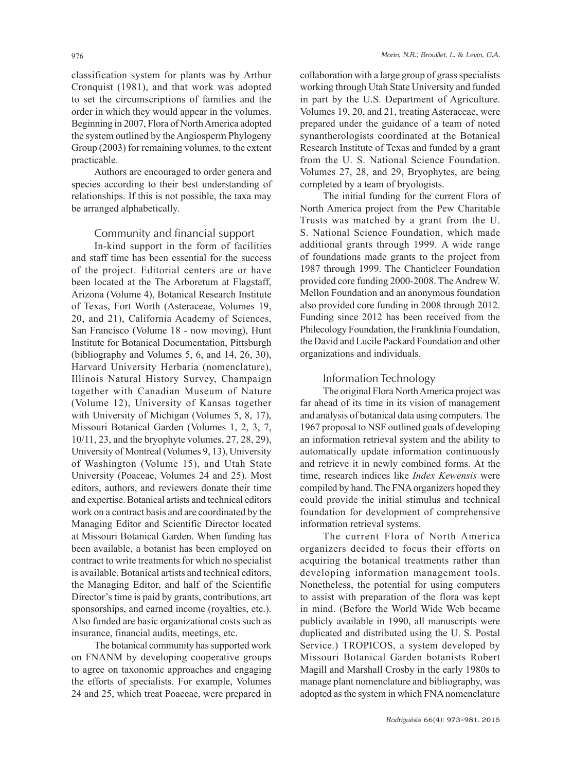classification system for plants was by Arthur Cronquist (1981), and that work was adopted to set the circumscriptions of families and the order in which they would appear in the volumes. Beginning in 2007, Flora of North America adopted the system outlined by the Angiosperm Phylogeny Group (2003) for remaining volumes, to the extent practicable.

Authors are encouraged to order genera and species according to their best understanding of relationships. If this is not possible, the taxa may be arranged alphabetically.

Community and financial support

In-kind support in the form of facilities and staff time has been essential for the success of the project. Editorial centers are or have been located at the The Arboretum at Flagstaff, Arizona (Volume 4), Botanical Research Institute of Texas, Fort Worth (Asteraceae, Volumes 19, 20, and 21), California Academy of Sciences, San Francisco (Volume 18 - now moving), Hunt Institute for Botanical Documentation, Pittsburgh (bibliography and Volumes 5, 6, and 14, 26, 30), Harvard University Herbaria (nomenclature), Illinois Natural History Survey, Champaign together with Canadian Museum of Nature (Volume 12), University of Kansas together with University of Michigan (Volumes 5, 8, 17), Missouri Botanical Garden (Volumes 1, 2, 3, 7, 10/11, 23, and the bryophyte volumes, 27, 28, 29), University of Montreal (Volumes 9, 13), University of Washington (Volume 15), and Utah State University (Poaceae, Volumes 24 and 25). Most editors, authors, and reviewers donate their time and expertise. Botanical artists and technical editors work on a contract basis and are coordinated by the Managing Editor and Scientific Director located at Missouri Botanical Garden. When funding has been available, a botanist has been employed on contract to write treatments for which no specialist is available. Botanical artists and technical editors, the Managing Editor, and half of the Scientific Director's time is paid by grants, contributions, art sponsorships, and earned income (royalties, etc.). Also funded are basic organizational costs such as insurance, financial audits, meetings, etc.

The botanical community has supported work on FNANM by developing cooperative groups to agree on taxonomic approaches and engaging the efforts of specialists. For example, Volumes 24 and 25, which treat Poaceae, were prepared in collaboration with a large group of grass specialists working through Utah State University and funded in part by the U.S. Department of Agriculture. Volumes 19, 20, and 21, treating Asteraceae, were prepared under the guidance of a team of noted synantherologists coordinated at the Botanical Research Institute of Texas and funded by a grant from the U. S. National Science Foundation. Volumes 27, 28, and 29, Bryophytes, are being completed by a team of bryologists.

The initial funding for the current Flora of North America project from the Pew Charitable Trusts was matched by a grant from the U. S. National Science Foundation, which made additional grants through 1999. A wide range of foundations made grants to the project from 1987 through 1999. The Chanticleer Foundation provided core funding 2000-2008. The Andrew W. Mellon Foundation and an anonymous foundation also provided core funding in 2008 through 2012. Funding since 2012 has been received from the Philecology Foundation, the Franklinia Foundation, the David and Lucile Packard Foundation and other organizations and individuals.

#### Information Technology

The original Flora North America project was far ahead of its time in its vision of management and analysis of botanical data using computers. The 1967 proposal to NSF outlined goals of developing an information retrieval system and the ability to automatically update information continuously and retrieve it in newly combined forms. At the time, research indices like *Index Kewensis* were compiled by hand. The FNA organizers hoped they could provide the initial stimulus and technical foundation for development of comprehensive information retrieval systems.

The current Flora of North America organizers decided to focus their efforts on acquiring the botanical treatments rather than developing information management tools. Nonetheless, the potential for using computers to assist with preparation of the flora was kept in mind. (Before the World Wide Web became publicly available in 1990, all manuscripts were duplicated and distributed using the U. S. Postal Service.) TROPICOS, a system developed by Missouri Botanical Garden botanists Robert Magill and Marshall Crosby in the early 1980s to manage plant nomenclature and bibliography, was adopted as the system in which FNA nomenclature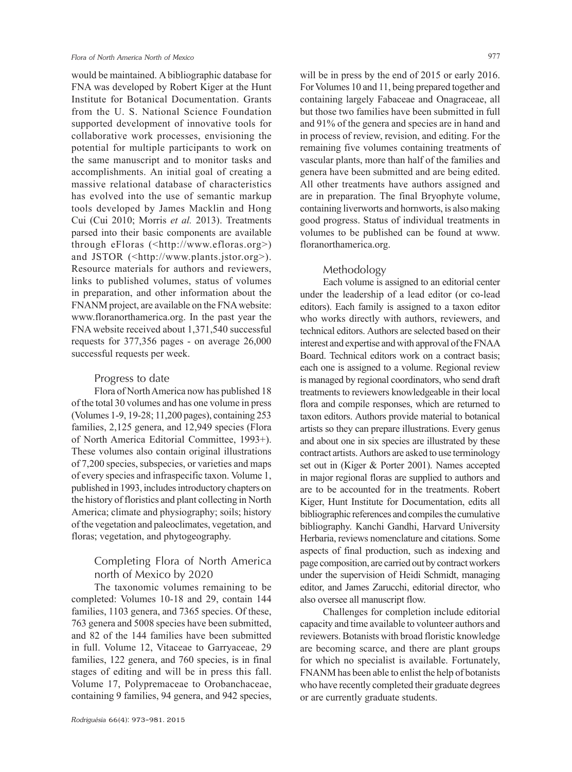would be maintained. A bibliographic database for FNA was developed by Robert Kiger at the Hunt Institute for Botanical Documentation. Grants from the U. S. National Science Foundation supported development of innovative tools for collaborative work processes, envisioning the potential for multiple participants to work on the same manuscript and to monitor tasks and accomplishments. An initial goal of creating a massive relational database of characteristics has evolved into the use of semantic markup tools developed by James Macklin and Hong Cui (Cui 2010; Morris *et al.* 2013). Treatments parsed into their basic components are available through eFloras (<http://www.efloras.org>) and JSTOR (<http://www.plants.jstor.org>). Resource materials for authors and reviewers, links to published volumes, status of volumes in preparation, and other information about the FNANM project, are available on the FNA website: www.floranorthamerica.org. In the past year the FNA website received about 1,371,540 successful requests for 377,356 pages - on average 26,000 successful requests per week.

#### Progress to date

Flora of North America now has published 18 of the total 30 volumes and has one volume in press (Volumes 1-9, 19-28; 11,200 pages), containing 253 families, 2,125 genera, and 12,949 species (Flora of North America Editorial Committee, 1993+). These volumes also contain original illustrations of 7,200 species, subspecies, or varieties and maps of every species and infraspecific taxon. Volume 1, published in 1993, includes introductory chapters on the history of floristics and plant collecting in North America; climate and physiography; soils; history of the vegetation and paleoclimates, vegetation, and floras; vegetation, and phytogeography.

# Completing Flora of North America north of Mexico by 2020

The taxonomic volumes remaining to be completed: Volumes 10-18 and 29, contain 144 families, 1103 genera, and 7365 species. Of these, 763 genera and 5008 species have been submitted, and 82 of the 144 families have been submitted in full. Volume 12, Vitaceae to Garryaceae, 29 families, 122 genera, and 760 species, is in final stages of editing and will be in press this fall. Volume 17, Polypremaceae to Orobanchaceae, containing 9 families, 94 genera, and 942 species, will be in press by the end of 2015 or early 2016. For Volumes 10 and 11, being prepared together and containing largely Fabaceae and Onagraceae, all but those two families have been submitted in full and 91% of the genera and species are in hand and in process of review, revision, and editing. For the remaining five volumes containing treatments of vascular plants, more than half of the families and genera have been submitted and are being edited. All other treatments have authors assigned and are in preparation. The final Bryophyte volume, containing liverworts and hornworts, is also making good progress. Status of individual treatments in volumes to be published can be found at www. floranorthamerica.org.

# Methodology

Each volume is assigned to an editorial center under the leadership of a lead editor (or co-lead editors). Each family is assigned to a taxon editor who works directly with authors, reviewers, and technical editors. Authors are selected based on their interest and expertise and with approval of the FNAA Board. Technical editors work on a contract basis; each one is assigned to a volume. Regional review is managed by regional coordinators, who send draft treatments to reviewers knowledgeable in their local flora and compile responses, which are returned to taxon editors. Authors provide material to botanical artists so they can prepare illustrations. Every genus and about one in six species are illustrated by these contract artists. Authors are asked to use terminology set out in (Kiger & Porter 2001). Names accepted in major regional floras are supplied to authors and are to be accounted for in the treatments. Robert Kiger, Hunt Institute for Documentation, edits all bibliographic references and compiles the cumulative bibliography. Kanchi Gandhi, Harvard University Herbaria, reviews nomenclature and citations. Some aspects of final production, such as indexing and page composition, are carried out by contract workers under the supervision of Heidi Schmidt, managing editor, and James Zarucchi, editorial director, who also oversee all manuscript flow.

Challenges for completion include editorial capacity and time available to volunteer authors and reviewers.Botanists with broad floristic knowledge are becoming scarce, and there are plant groups for which no specialist is available. Fortunately, FNANM has been able to enlist the help of botanists who have recently completed their graduate degrees or are currently graduate students.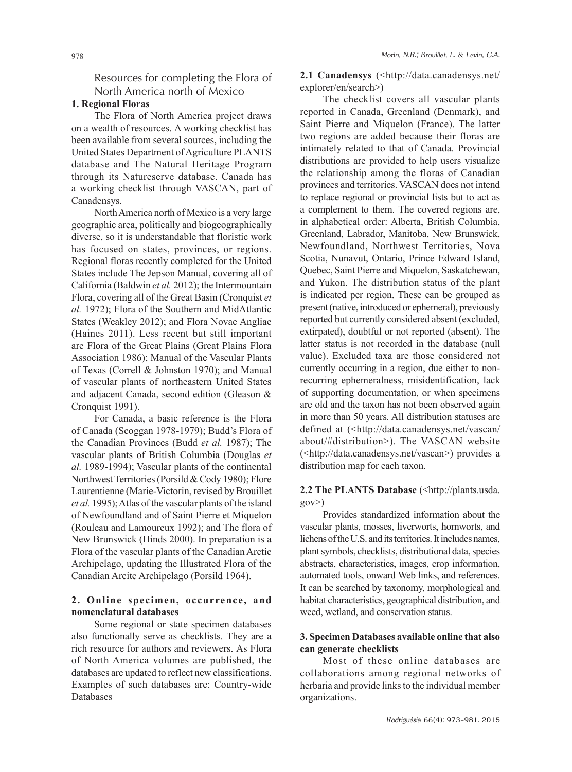Resources for completing the Flora of North America north of Mexico

# **1. Regional Floras**

The Flora of North America project draws on a wealth of resources. A working checklist has been available from several sources, including the United States Department of Agriculture PLANTS database and The Natural Heritage Program through its Natureserve database. Canada has a working checklist through VASCAN, part of Canadensys.

North America north of Mexico is a very large geographic area, politically and biogeographically diverse, so it is understandable that floristic work has focused on states, provinces, or regions. Regional floras recently completed for the United States include The Jepson Manual, covering all of California (Baldwin *et al.* 2012); the Intermountain Flora, covering all of the Great Basin (Cronquist *et al.* 1972); Flora of the Southern and MidAtlantic States (Weakley 2012); and Flora Novae Angliae (Haines 2011). Less recent but still important are Flora of the Great Plains (Great Plains Flora Association 1986); Manual of the Vascular Plants of Texas (Correll & Johnston 1970); and Manual of vascular plants of northeastern United States and adjacent Canada, second edition (Gleason & Cronquist 1991).

For Canada, a basic reference is the Flora of Canada (Scoggan 1978-1979); Budd's Flora of the Canadian Provinces (Budd *et al.* 1987); The vascular plants of British Columbia (Douglas *et al.* 1989-1994); Vascular plants of the continental Northwest Territories (Porsild & Cody 1980); Flore Laurentienne (Marie-Victorin, revised by Brouillet *et al.* 1995); Atlas of the vascular plants of the island of Newfoundland and of Saint Pierre et Miquelon (Rouleau and Lamoureux 1992); and The flora of New Brunswick (Hinds 2000). In preparation is a Flora of the vascular plants of the Canadian Arctic Archipelago, updating the Illustrated Flora of the Canadian Arcitc Archipelago (Porsild 1964).

### **2. Online specimen, occurrence, and nomenclatural databases**

Some regional or state specimen databases also functionally serve as checklists. They are a rich resource for authors and reviewers. As Flora of North America volumes are published, the databases are updated to reflect new classifications. Examples of such databases are: Country-wide Databases

**2.1 Canadensys** (<http://data.canadensys.net/ explorer/en/search>)

The checklist covers all vascular plants reported in Canada, Greenland (Denmark), and Saint Pierre and Miquelon (France). The latter two regions are added because their floras are intimately related to that of Canada. Provincial distributions are provided to help users visualize the relationship among the floras of Canadian provinces and territories. VASCAN does not intend to replace regional or provincial lists but to act as a complement to them. The covered regions are, in alphabetical order: Alberta, British Columbia, Greenland, Labrador, Manitoba, New Brunswick, Newfoundland, Northwest Territories, Nova Scotia, Nunavut, Ontario, Prince Edward Island, Quebec, Saint Pierre and Miquelon, Saskatchewan, and Yukon. The distribution status of the plant is indicated per region. These can be grouped as present (native, introduced or ephemeral), previously reported but currently considered absent (excluded, extirpated), doubtful or not reported (absent). The latter status is not recorded in the database (null value). Excluded taxa are those considered not currently occurring in a region, due either to nonrecurring ephemeralness, misidentification, lack of supporting documentation, or when specimens are old and the taxon has not been observed again in more than 50 years. All distribution statuses are defined at  $(\langle \text{http://data.canadensys.net/vascan/})$ about/#distribution>). The VASCAN website (<http://data.canadensys.net/vascan>) provides a distribution map for each taxon.

#### **2.2 The PLANTS Database** (<http://plants.usda.  $g_{\rm OV}$

Provides standardized information about the vascular plants, mosses, liverworts, hornworts, and lichens of the U.S. and its territories. It includes names, plant symbols, checklists, distributional data, species abstracts, characteristics, images, crop information, automated tools, onward Web links, and references. It can be searched by taxonomy, morphological and habitat characteristics, geographical distribution, and weed, wetland, and conservation status.

# **3. Specimen Databases available online that also can generate checklists**

Most of these online databases are collaborations among regional networks of herbaria and provide links to the individual member organizations.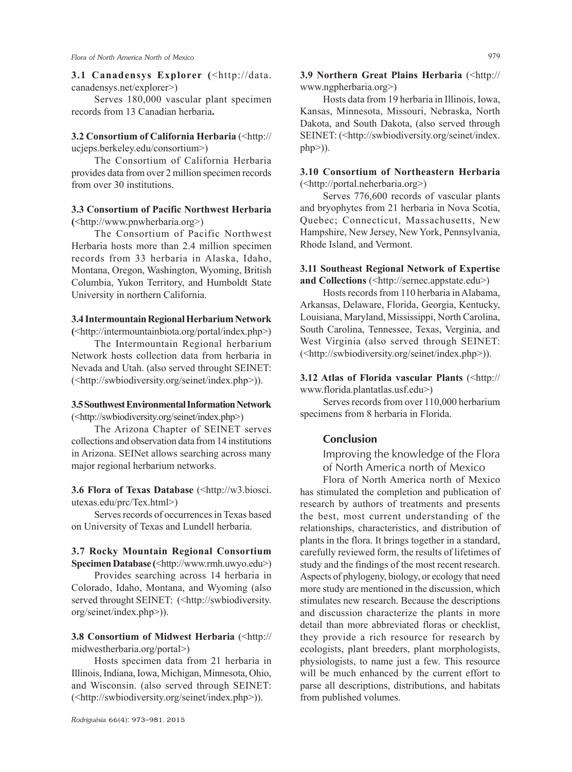#### **3.1 Canadensys Explorer (**<http://data. canadensys.net/explorer>)

Serves 180,000 vascular plant specimen records from 13 Canadian herbaria**.**

#### **3.2 Consortium of California Herbaria** (<http:// ucjeps.berkeley.edu/consortium>)

The Consortium of California Herbaria provides data from over 2 million specimen records from over 30 institutions.

# **3.3 Consortium of Pacific Northwest Herbaria (**<http://www.pnwherbaria.org>)

The Consortium of Pacific Northwest Herbaria hosts more than 2.4 million specimen records from 33 herbaria in Alaska, Idaho, Montana, Oregon, Washington, Wyoming, British Columbia, Yukon Territory, and Humboldt State University in northern California.

# **3.4 Intermountain Regional Herbarium Network**

**(**<http://intermountainbiota.org/portal/index.php>)

The Intermountain Regional herbarium Network hosts collection data from herbaria in Nevada and Utah. (also served throught SEINET: (<http://swbiodiversity.org/seinet/index.php>)).

# **3.5 Southwest Environmental Information Network**

(<http://swbiodiversity.org/seinet/index.php>)

The Arizona Chapter of SEINET serves collections and observation data from 14 institutions in Arizona. SEINet allows searching across many major regional herbarium networks.

**3.6 Flora of Texas Database** (<http://w3.biosci. utexas.edu/prc/Tex.html>)

Serves records of occurrences in Texas based on University of Texas and Lundell herbaria.

#### **3.7 Rocky Mountain Regional Consortium Specimen Database (<http://www.rmh.uwyo.edu>)**

Provides searching across 14 herbaria in Colorado, Idaho, Montana, and Wyoming (also served throught SEINET: (<http://swbiodiversity. org/seinet/index.php>)).

**3.8 Consortium of Midwest Herbaria** (<http:// midwestherbaria.org/portal>)

Hosts specimen data from 21 herbaria in Illinois, Indiana, Iowa, Michigan, Minnesota, Ohio, and Wisconsin. (also served through SEINET: (<http://swbiodiversity.org/seinet/index.php>)).

# **3.9 Northern Great Plains Herbaria** (<http:// www.ngpherbaria.org>)

Hosts data from 19 herbaria in Illinois, Iowa, Kansas, Minnesota, Missouri, Nebraska, North Dakota, and South Dakota, (also served through SEINET: (<http://swbiodiversity.org/seinet/index.  $php$ )).

#### **3.10 Consortium of Northeastern Herbaria** (<http://portal.neherbaria.org>)

Serves 776,600 records of vascular plants and bryophytes from 21 herbaria in Nova Scotia, Quebec; Connecticut, Massachusetts, New Hampshire, New Jersey, New York, Pennsylvania, Rhode Island, and Vermont.

#### **3.11 Southeast Regional Network of Expertise**  and Collections (<http://sernec.appstate.edu>)

Hosts records from 110 herbaria in Alabama, Arkansas, Delaware, Florida, Georgia, Kentucky, Louisiana, Maryland, Mississippi, North Carolina, South Carolina, Tennessee, Texas, Verginia, and West Virginia (also served through SEINET: (<http://swbiodiversity.org/seinet/index.php>)).

**3.12 Atlas of Florida vascular Plants** (<http:// www.florida.plantatlas.usf.edu>)

Serves records from over 110,000 herbarium specimens from 8 herbaria in Florida.

# **Conclusion**

Improving the knowledge of the Flora of North America north of Mexico

Flora of North America north of Mexico has stimulated the completion and publication of research by authors of treatments and presents the best, most current understanding of the relationships, characteristics, and distribution of plants in the flora. It brings together in a standard, carefully reviewed form, the results of lifetimes of study and the findings of the most recent research. Aspects of phylogeny, biology, or ecology that need more study are mentioned in the discussion, which stimulates new research. Because the descriptions and discussion characterize the plants in more detail than more abbreviated floras or checklist, they provide a rich resource for research by ecologists, plant breeders, plant morphologists, physiologists, to name just a few. This resource will be much enhanced by the current effort to parse all descriptions, distributions, and habitats from published volumes.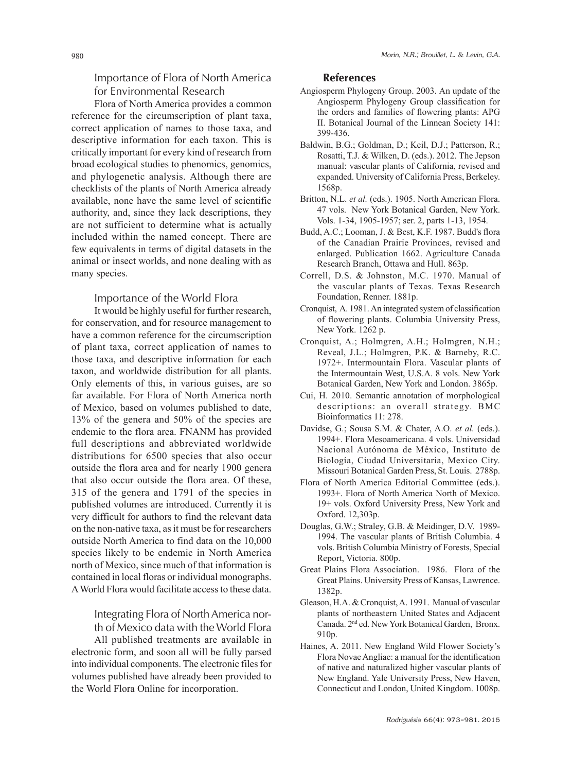Importance of Flora of North America for Environmental Research

Flora of North America provides a common reference for the circumscription of plant taxa, correct application of names to those taxa, and descriptive information for each taxon. This is critically important for every kind of research from broad ecological studies to phenomics, genomics, and phylogenetic analysis. Although there are checklists of the plants of North America already available, none have the same level of scientific authority, and, since they lack descriptions, they are not sufficient to determine what is actually included within the named concept. There are few equivalents in terms of digital datasets in the animal or insect worlds, and none dealing with as many species.

Importance of the World Flora

It would be highly useful for further research, for conservation, and for resource management to have a common reference for the circumscription of plant taxa, correct application of names to those taxa, and descriptive information for each taxon, and worldwide distribution for all plants. Only elements of this, in various guises, are so far available. For Flora of North America north of Mexico, based on volumes published to date, 13% of the genera and 50% of the species are endemic to the flora area. FNANM has provided full descriptions and abbreviated worldwide distributions for 6500 species that also occur outside the flora area and for nearly 1900 genera that also occur outside the flora area. Of these, 315 of the genera and 1791 of the species in published volumes are introduced. Currently it is very difficult for authors to find the relevant data on the non-native taxa, as it must be for researchers outside North America to find data on the 10,000 species likely to be endemic in North America north of Mexico, since much of that information is contained in local floras or individual monographs. A World Flora would facilitate access to these data.

# Integrating Flora of North America nor-

th of Mexico data with the World Flora All published treatments are available in electronic form, and soon all will be fully parsed into individual components. The electronic files for volumes published have already been provided to the World Flora Online for incorporation.

#### **References**

- Angiosperm Phylogeny Group. 2003. An update of the Angiosperm Phylogeny Group classification for the orders and families of flowering plants: APG II. Botanical Journal of the Linnean Society 141: 399-436.
- Baldwin, B.G.; Goldman, D.; Keil, D.J.; Patterson, R.; Rosatti, T.J. & Wilken, D. (eds.). 2012. The Jepson manual: vascular plants of California, revised and expanded. University of California Press, Berkeley. 1568p.
- Britton, N.L. *et al.* (eds.). 1905. North American Flora. 47 vols. New York Botanical Garden, New York. Vols. 1-34, 1905-1957; ser. 2, parts 1-13, 1954.
- Budd, A.C.; Looman, J. & Best, K.F. 1987. Budd's flora of the Canadian Prairie Provinces, revised and enlarged. Publication 1662. Agriculture Canada Research Branch, Ottawa and Hull. 863p.
- Correll, D.S. & Johnston, M.C. 1970. Manual of the vascular plants of Texas. Texas Research Foundation, Renner. 1881p.
- Cronquist, A. 1981. An integrated system of classification of flowering plants. Columbia University Press, New York. 1262 p.
- Cronquist, A.; Holmgren, A.H.; Holmgren, N.H.; Reveal, J.L.; Holmgren, P.K. & Barneby, R.C. 1972+. Intermountain Flora. Vascular plants of the Intermountain West, U.S.A. 8 vols. New York Botanical Garden, New York and London. 3865p.
- Cui, H. 2010. Semantic annotation of morphological descriptions: an overall strategy. BMC Bioinformatics 11: 278.
- Davidse, G.; Sousa S.M. & Chater, A.O. *et al.* (eds.). 1994+. Flora Mesoamericana. 4 vols. Universidad Nacional Autónoma de México, Instituto de Biología, Ciudad Universitaria, Mexico City. Missouri Botanical Garden Press, St. Louis. 2788p.
- Flora of North America Editorial Committee (eds.). 1993+. Flora of North America North of Mexico. 19+ vols. Oxford University Press, New York and Oxford. 12,303p.
- Douglas, G.W.; Straley, G.B. & Meidinger, D.V. 1989- 1994. The vascular plants of British Columbia. 4 vols. British Columbia Ministry of Forests, Special Report, Victoria. 800p.
- Great Plains Flora Association. 1986. Flora of the Great Plains. University Press of Kansas, Lawrence. 1382p.
- Gleason, H.A. & Cronquist, A. 1991. Manual of vascular plants of northeastern United States and Adjacent Canada. 2nd ed. New York Botanical Garden, Bronx. 910p.
- Haines, A. 2011. New England Wild Flower Society's Flora Novae Angliae: a manual for the identification of native and naturalized higher vascular plants of New England. Yale University Press, New Haven, Connecticut and London, United Kingdom. 1008p.